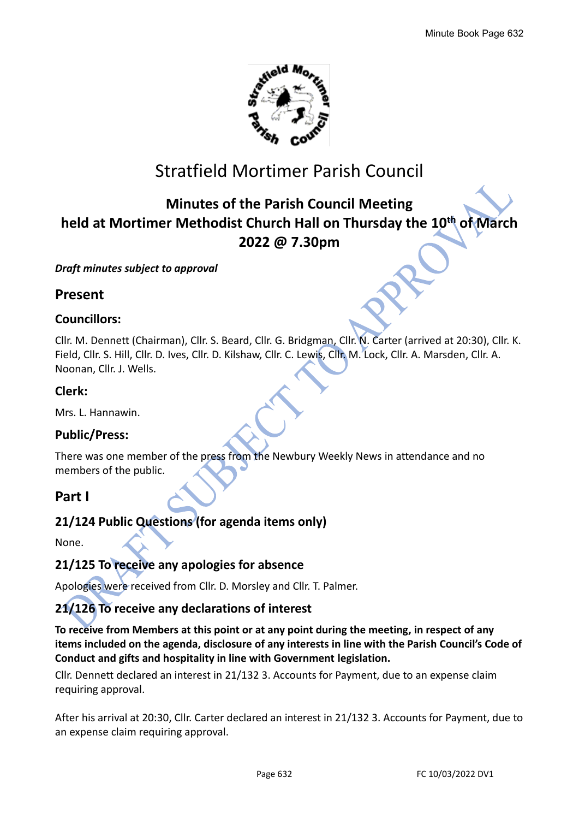

# Stratfield Mortimer Parish Council

# **Minutes of the Parish Council Meeting held at Mortimer Methodist Church Hall on Thursday the 10 th of March 2022 @ 7.30pm**

## *Draft minutes subject to approval*

# **Present**

## **Councillors:**

Cllr. M. Dennett (Chairman), Cllr. S. Beard, Cllr. G. Bridgman, Cllr. N. Carter (arrived at 20:30), Cllr. K. Field, Cllr. S. Hill, Cllr. D. Ives, Cllr. D. Kilshaw, Cllr. C. Lewis, Cllr. M. Lock, Cllr. A. Marsden, Cllr. A. Noonan, Cllr. J. Wells.

# **Clerk:**

Mrs. L. Hannawin.

# **Public/Press:**

There was one member of the press from the Newbury Weekly News in attendance and no members of the public.

# **Part I**

# **21/124 Public Questions (for agenda items only)**

None.

# **21/125 To receive any apologies for absence**

Apologies were received from Cllr. D. Morsley and Cllr. T. Palmer.

# **21/126 To receive any declarations of interest**

**To receive from Members at this point or at any point during the meeting, in respect of any items included on the agenda, disclosure of any interests in line with the Parish Council's Code of Conduct and gifts and hospitality in line with Government legislation.**

Cllr. Dennett declared an interest in 21/132 3. Accounts for Payment, due to an expense claim requiring approval.

After his arrival at 20:30, Cllr. Carter declared an interest in 21/132 3. Accounts for Payment, due to an expense claim requiring approval.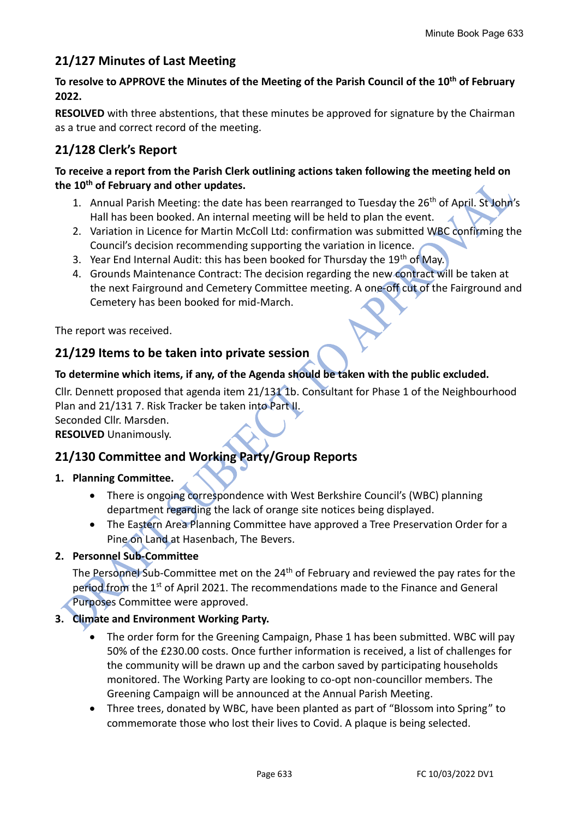# **21/127 Minutes of Last Meeting**

## **To resolve to APPROVE the Minutes of the Meeting of the Parish Council of the 10th of February 2022.**

**RESOLVED** with three abstentions, that these minutes be approved for signature by the Chairman as a true and correct record of the meeting.

# **21/128 Clerk's Report**

### **To receive a report from the Parish Clerk outlining actions taken following the meeting held on the 10th of February and other updates.**

- 1. Annual Parish Meeting: the date has been rearranged to Tuesday the 26<sup>th</sup> of April. St John's Hall has been booked. An internal meeting will be held to plan the event.
- 2. Variation in Licence for Martin McColl Ltd: confirmation was submitted WBC confirming the Council's decision recommending supporting the variation in licence.
- 3. Year End Internal Audit: this has been booked for Thursday the 19<sup>th</sup> of May.
- 4. Grounds Maintenance Contract: The decision regarding the new contract will be taken at the next Fairground and Cemetery Committee meeting. A one-off cut of the Fairground and Cemetery has been booked for mid-March.

The report was received.

## **21/129 Items to be taken into private session**

## **To determine which items, if any, of the Agenda should be taken with the public excluded.**

Cllr. Dennett proposed that agenda item 21/131 1b. Consultant for Phase 1 of the Neighbourhood Plan and 21/131 7. Risk Tracker be taken into Part II.

Seconded Cllr. Marsden. **RESOLVED** Unanimously.

# **21/130 Committee and Working Party/Group Reports**

## **1. Planning Committee.**

- There is ongoing correspondence with West Berkshire Council's (WBC) planning department regarding the lack of orange site notices being displayed.
- The Eastern Area Planning Committee have approved a Tree Preservation Order for a Pine on Land at Hasenbach, The Bevers.

## **2. Personnel Sub-Committee**

The Personnel Sub-Committee met on the 24th of February and reviewed the pay rates for the period from the 1<sup>st</sup> of April 2021. The recommendations made to the Finance and General Purposes Committee were approved.

## **3. Climate and Environment Working Party.**

- The order form for the Greening Campaign, Phase 1 has been submitted. WBC will pay 50% of the £230.00 costs. Once further information is received, a list of challenges for the community will be drawn up and the carbon saved by participating households monitored. The Working Party are looking to co-opt non-councillor members. The Greening Campaign will be announced at the Annual Parish Meeting.
- Three trees, donated by WBC, have been planted as part of "Blossom into Spring" to commemorate those who lost their lives to Covid. A plaque is being selected.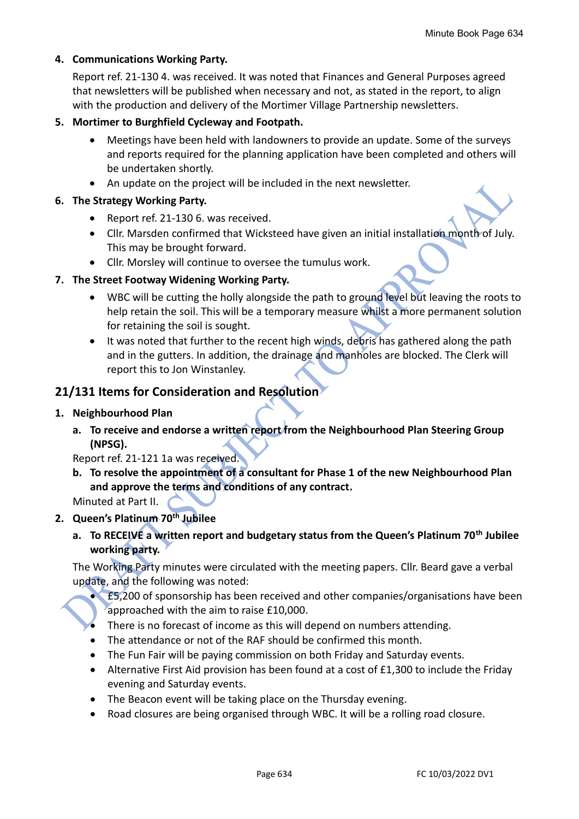#### **4. Communications Working Party.**

Report ref. 21-130 4. was received. It was noted that Finances and General Purposes agreed that newsletters will be published when necessary and not, as stated in the report, to align with the production and delivery of the Mortimer Village Partnership newsletters.

#### **5. Mortimer to Burghfield Cycleway and Footpath.**

- Meetings have been held with landowners to provide an update. Some of the surveys and reports required for the planning application have been completed and others will be undertaken shortly.
- An update on the project will be included in the next newsletter.

### **6. The Strategy Working Party.**

- Report ref. 21-130 6. was received.
- Cllr. Marsden confirmed that Wicksteed have given an initial installation month of July. This may be brought forward.
- Cllr. Morsley will continue to oversee the tumulus work.

## **7. The Street Footway Widening Working Party.**

- WBC will be cutting the holly alongside the path to ground level but leaving the roots to help retain the soil. This will be a temporary measure whilst a more permanent solution for retaining the soil is sought.
- It was noted that further to the recent high winds, debris has gathered along the path and in the gutters. In addition, the drainage and manholes are blocked. The Clerk will report this to Jon Winstanley.

## **21/131 Items for Consideration and Resolution**

#### **1. Neighbourhood Plan**

**a. To receive and endorse a written report from the Neighbourhood Plan Steering Group (NPSG).**

Report ref. 21-121 1a was received.

**b. To resolve the appointment of a consultant for Phase 1 of the new Neighbourhood Plan and approve the terms and conditions of any contract.**

Minuted at Part II.

## **2. Queen's Platinum 70th Jubilee**

**a. To RECEIVE a written report and budgetary status from the Queen's Platinum 70th Jubilee working party.**

The Working Party minutes were circulated with the meeting papers. Cllr. Beard gave a verbal update, and the following was noted:

- £5,200 of sponsorship has been received and other companies/organisations have been approached with the aim to raise £10,000.
- There is no forecast of income as this will depend on numbers attending.
- The attendance or not of the RAF should be confirmed this month.
- The Fun Fair will be paying commission on both Friday and Saturday events.
- Alternative First Aid provision has been found at a cost of £1,300 to include the Friday evening and Saturday events.
- The Beacon event will be taking place on the Thursday evening.
- Road closures are being organised through WBC. It will be a rolling road closure.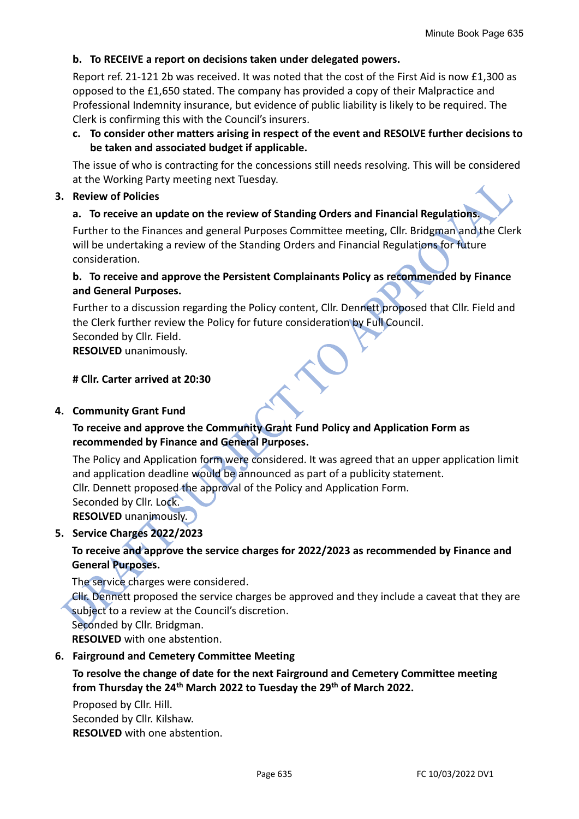## **b. To RECEIVE a report on decisions taken under delegated powers.**

Report ref. 21-121 2b was received. It was noted that the cost of the First Aid is now £1,300 as opposed to the £1,650 stated. The company has provided a copy of their Malpractice and Professional Indemnity insurance, but evidence of public liability is likely to be required. The Clerk is confirming this with the Council's insurers.

**c. To consider other matters arising in respect of the event and RESOLVE further decisions to be taken and associated budget if applicable.**

The issue of who is contracting for the concessions still needs resolving. This will be considered at the Working Party meeting next Tuesday.

#### **3. Review of Policies**

## **a. To receive an update on the review of Standing Orders and Financial Regulations.**

Further to the Finances and general Purposes Committee meeting, Cllr. Bridgman and the Clerk will be undertaking a review of the Standing Orders and Financial Regulations for future consideration.

## **b. To receive and approve the Persistent Complainants Policy as recommended by Finance and General Purposes.**

Further to a discussion regarding the Policy content, Cllr. Dennett proposed that Cllr. Field and the Clerk further review the Policy for future consideration by Full Council.

Seconded by Cllr. Field.

**RESOLVED** unanimously.

#### **# Cllr. Carter arrived at 20:30**

#### **4. Community Grant Fund**

## **To receive and approve the Community Grant Fund Policy and Application Form as recommended by Finance and General Purposes.**

The Policy and Application form were considered. It was agreed that an upper application limit and application deadline would be announced as part of a publicity statement.

Cllr. Dennett proposed the approval of the Policy and Application Form.

Seconded by Cllr. Lock.

**RESOLVED** unanimously.

## **5. Service Charges 2022/2023**

## **To receive and approve the service charges for 2022/2023 as recommended by Finance and General Purposes.**

The service charges were considered.

Cllr. Dennett proposed the service charges be approved and they include a caveat that they are subject to a review at the Council's discretion.

Seconded by Cllr. Bridgman.

**RESOLVED** with one abstention.

## **6. Fairground and Cemetery Committee Meeting**

## **To resolve the change of date for the next Fairground and Cemetery Committee meeting from Thursday the 24th March 2022 to Tuesday the 29th of March 2022.**

Proposed by Cllr. Hill. Seconded by Cllr. Kilshaw. **RESOLVED** with one abstention.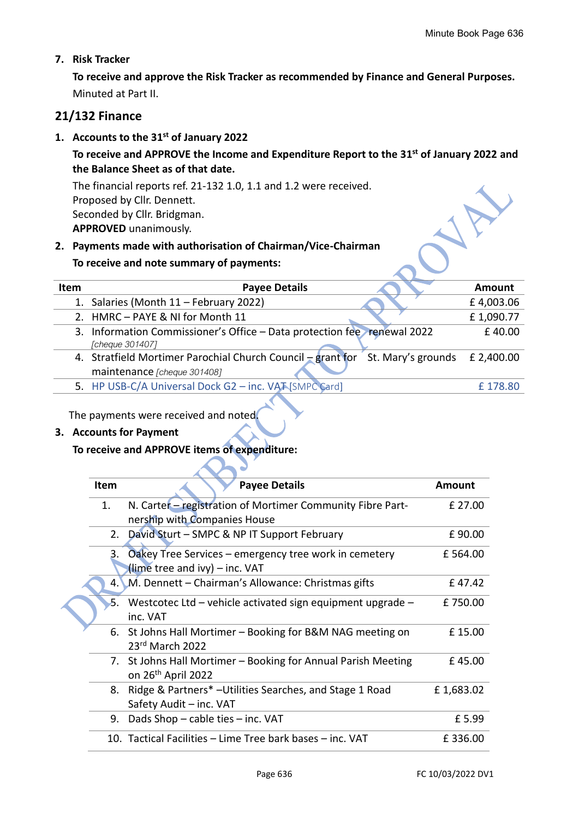### **7. Risk Tracker**

**To receive and approve the Risk Tracker as recommended by Finance and General Purposes.** Minuted at Part II.

## **21/132 Finance**

**1. Accounts to the 31st of January 2022**

## **To receive and APPROVE the Income and Expenditure Report to the 31 st of January 2022 and the Balance Sheet as of that date.**

The financial reports ref. 21-132 1.0, 1.1 and 1.2 were received. Proposed by Cllr. Dennett. Seconded by Cllr. Bridgman. **APPROVED** unanimously.

# **2. Payments made with authorisation of Chairman/Vice-Chairman**

#### **To receive and note summary of payments:**

| Item | <b>Payee Details</b>                                                                       | Amount     |
|------|--------------------------------------------------------------------------------------------|------------|
|      | 1. Salaries (Month 11 - February 2022)                                                     | £4,003.06  |
|      | 2. HMRC - PAYE & NI for Month 11                                                           | £1,090.77  |
|      | 3. Information Commissioner's Office - Data protection fee renewal 2022<br>Cheque 301407]  | £40.00     |
|      | 4. Stratfield Mortimer Parochial Church Council $\frac{1}{2}$ grant for St. Mary's grounds | £ 2,400.00 |
|      | maintenance [cheque 301408]                                                                |            |
|      | 5. HP USB-C/A Universal Dock G2 - inc. VAT [SMPC Card]                                     | £178.80    |

The payments were received and noted.

#### **3. Accounts for Payment**

#### **To receive and APPROVE items of expenditure:**

| Item | <b>Payee Details</b>                                          | Amount    |
|------|---------------------------------------------------------------|-----------|
| 1.   | N. Carter - registration of Mortimer Community Fibre Part-    | £ 27.00   |
|      | nership with Companies House                                  |           |
|      | 2. David Sturt - SMPC & NP IT Support February                | £90.00    |
| 3.   | Oakey Tree Services – emergency tree work in cemetery         | £564.00   |
|      | (lime tree and ivy) - inc. VAT                                |           |
|      | 4. M. Dennett – Chairman's Allowance: Christmas gifts         | £47.42    |
|      | 5. Westcotec Ltd – vehicle activated sign equipment upgrade – | £750.00   |
|      | inc. VAT                                                      |           |
|      | 6. St Johns Hall Mortimer - Booking for B&M NAG meeting on    | £15.00    |
|      | 23rd March 2022                                               |           |
|      | 7. St Johns Hall Mortimer - Booking for Annual Parish Meeting | £45.00    |
|      | on 26 <sup>th</sup> April 2022                                |           |
|      | 8. Ridge & Partners* - Utilities Searches, and Stage 1 Road   | £1,683.02 |
|      | Safety Audit - inc. VAT                                       |           |
| 9.   | Dads Shop $-$ cable ties $-$ inc. VAT                         | £5.99     |
|      | 10. Tactical Facilities – Lime Tree bark bases – inc. VAT     | £336.00   |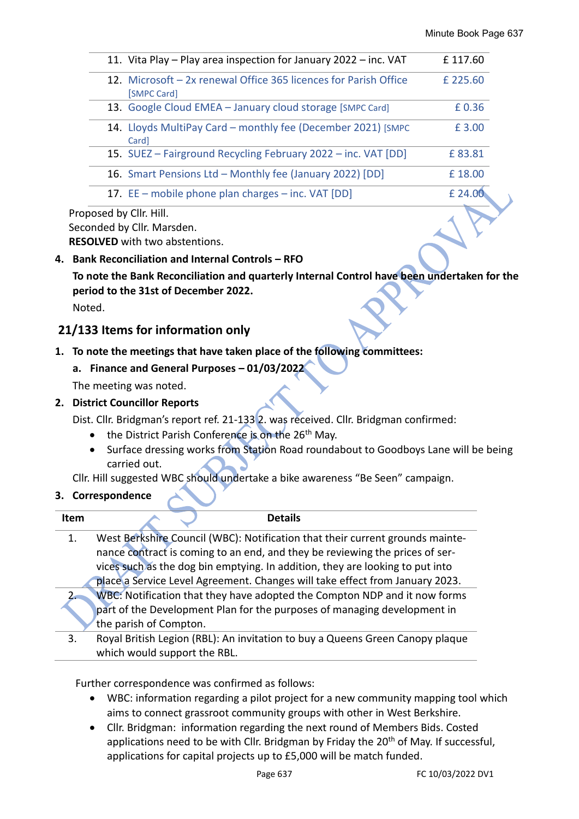| 11. Vita Play – Play area inspection for January 2022 – inc. VAT                | £117.60  |
|---------------------------------------------------------------------------------|----------|
| 12. Microsoft - 2x renewal Office 365 licences for Parish Office<br>[SMPC Card] | £ 225.60 |
| 13. Google Cloud EMEA - January cloud storage [SMPC Card]                       | £0.36    |
| 14. Lloyds MultiPay Card - monthly fee (December 2021) [SMPC]<br>Card]          | £3.00    |
| 15. SUEZ - Fairground Recycling February 2022 - inc. VAT [DD]                   | £83.81   |
| 16. Smart Pensions Ltd - Monthly fee (January 2022) [DD]                        | £18.00   |
| 17. EE – mobile phone plan charges – inc. VAT [DD]                              | £ 24.00  |
| $11 - 211 + 111$                                                                |          |

Proposed by Cllr. Hill. Seconded by Cllr. Marsden.

**RESOLVED** with two abstentions.

**4. Bank Reconciliation and Internal Controls – RFO**

**To note the Bank Reconciliation and quarterly Internal Control have been undertaken for the period to the 31st of December 2022.**

Noted.

## **21/133 Items for information only**

- **1. To note the meetings that have taken place of the following committees:**
	- **a. Finance and General Purposes – 01/03/2022**

The meeting was noted.

#### **2. District Councillor Reports**

Dist. Cllr. Bridgman's report ref. 21-133 2. was received. Cllr. Bridgman confirmed:

- the District Parish Conference is on the 26<sup>th</sup> May.
- Surface dressing works from Station Road roundabout to Goodboys Lane will be being carried out.

Cllr. Hill suggested WBC should undertake a bike awareness "Be Seen" campaign.

#### **3. Correspondence**

| <b>Item</b> | <b>Details</b>                                                                |
|-------------|-------------------------------------------------------------------------------|
| 1.          | West Berkshire Council (WBC): Notification that their current grounds mainte- |
|             | nance contract is coming to an end, and they be reviewing the prices of ser-  |
|             | vices such as the dog bin emptying. In addition, they are looking to put into |
|             | place a Service Level Agreement. Changes will take effect from January 2023.  |
|             | WBC: Notification that they have adopted the Compton NDP and it now forms     |
|             | part of the Development Plan for the purposes of managing development in      |
|             | the parish of Compton.                                                        |
| 3.          | Royal British Legion (RBL): An invitation to buy a Queens Green Canopy plaque |
|             | which would support the RBL.                                                  |

Further correspondence was confirmed as follows:

- WBC: information regarding a pilot project for a new community mapping tool which aims to connect grassroot community groups with other in West Berkshire.
- Cllr. Bridgman: information regarding the next round of Members Bids. Costed applications need to be with Cllr. Bridgman by Friday the  $20<sup>th</sup>$  of May. If successful, applications for capital projects up to £5,000 will be match funded.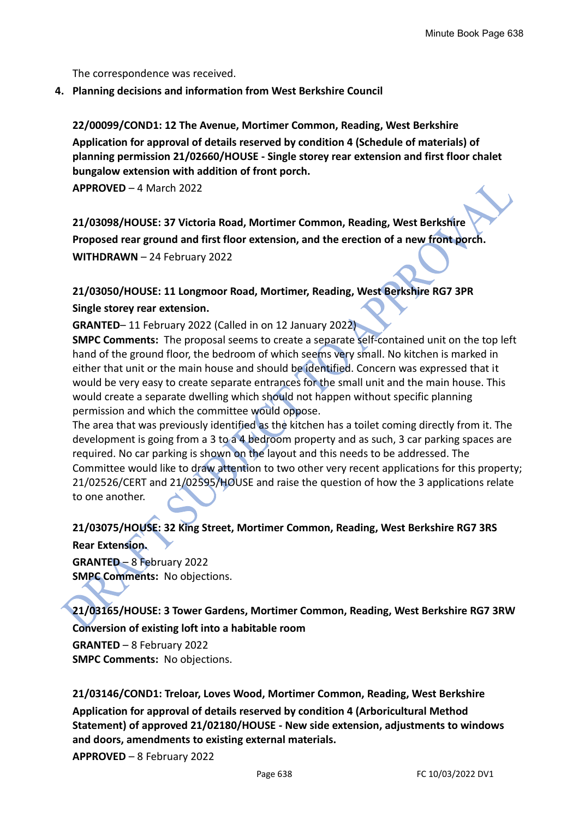The correspondence was received.

**4. Planning decisions and information from West Berkshire Council**

**22/00099/COND1: 12 The Avenue, Mortimer Common, Reading, West Berkshire Application for approval of details reserved by condition 4 (Schedule of materials) of planning permission 21/02660/HOUSE - Single storey rear extension and first floor chalet bungalow extension with addition of front porch.**

**APPROVED** – 4 March 2022

**21/03098/HOUSE: 37 Victoria Road, Mortimer Common, Reading, West Berkshire Proposed rear ground and first floor extension, and the erection of a new front porch. WITHDRAWN** – 24 February 2022

# **21/03050/HOUSE: 11 Longmoor Road, Mortimer, Reading, West Berkshire RG7 3PR Single storey rear extension.**

**GRANTED**– 11 February 2022 (Called in on 12 January 2022)

**SMPC Comments:** The proposal seems to create a separate self-contained unit on the top left hand of the ground floor, the bedroom of which seems very small. No kitchen is marked in either that unit or the main house and should be identified. Concern was expressed that it would be very easy to create separate entrances for the small unit and the main house. This would create a separate dwelling which should not happen without specific planning permission and which the committee would oppose.

The area that was previously identified as the kitchen has a toilet coming directly from it. The development is going from a 3 to a 4 bedroom property and as such, 3 car parking spaces are required. No car parking is shown on the layout and this needs to be addressed. The Committee would like to draw attention to two other very recent applications for this property; 21/02526/CERT and 21/02595/HOUSE and raise the question of how the 3 applications relate to one another.

# **21/03075/HOUSE: 32 King Street, Mortimer Common, Reading, West Berkshire RG7 3RS Rear Extension.**

**GRANTED** – 8 February 2022 **SMPC Comments:** No objections.

**21/03165/HOUSE: 3 Tower Gardens, Mortimer Common, Reading, West Berkshire RG7 3RW Conversion of existing loft into a habitable room**

**GRANTED** – 8 February 2022 **SMPC Comments:** No objections.

**21/03146/COND1: Treloar, Loves Wood, Mortimer Common, Reading, West Berkshire Application for approval of details reserved by condition 4 (Arboricultural Method Statement) of approved 21/02180/HOUSE - New side extension, adjustments to windows and doors, amendments to existing external materials.**

**APPROVED** – 8 February 2022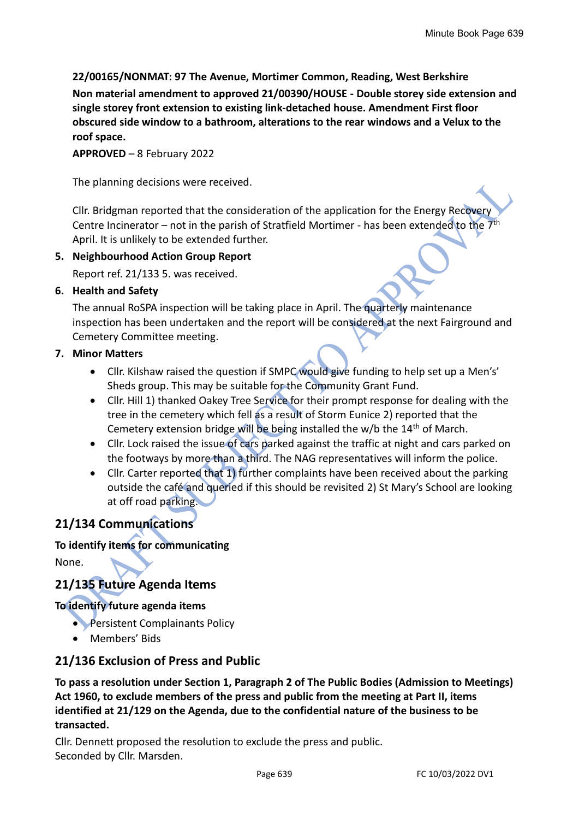## **22/00165/NONMAT: 97 The Avenue, Mortimer Common, Reading, West Berkshire**

**Non material amendment to approved 21/00390/HOUSE - Double storey side extension and single storey front extension to existing link-detached house. Amendment First floor obscured side window to a bathroom, alterations to the rear windows and a Velux to the roof space.**

**APPROVED** – 8 February 2022

The planning decisions were received.

Cllr. Bridgman reported that the consideration of the application for the Energy Recovery Centre Incinerator – not in the parish of Stratfield Mortimer - has been extended to the  $7<sup>th</sup>$ April. It is unlikely to be extended further.

#### **5. Neighbourhood Action Group Report**

Report ref. 21/133 5. was received.

#### **6. Health and Safety**

The annual RoSPA inspection will be taking place in April. The quarterly maintenance inspection has been undertaken and the report will be considered at the next Fairground and Cemetery Committee meeting.

#### **7. Minor Matters**

- Cllr. Kilshaw raised the question if SMPC would give funding to help set up a Men's' Sheds group. This may be suitable for the Community Grant Fund.
- Cllr. Hill 1) thanked Oakey Tree Service for their prompt response for dealing with the tree in the cemetery which fell as a result of Storm Eunice 2) reported that the Cemetery extension bridge will be being installed the  $w/b$  the  $14<sup>th</sup>$  of March.
- Cllr. Lock raised the issue of cars parked against the traffic at night and cars parked on the footways by more than a third. The NAG representatives will inform the police.
- Cllr. Carter reported that 1) further complaints have been received about the parking outside the café and queried if this should be revisited 2) St Mary's School are looking at off road parking.

## **21/134 Communications**

## **To identify items for communicating**

None.

# **21/135 Future Agenda Items**

## **To identify future agenda items**

- Persistent Complainants Policy
- Members' Bids

## **21/136 Exclusion of Press and Public**

**To pass a resolution under Section 1, Paragraph 2 of The Public Bodies (Admission to Meetings) Act 1960, to exclude members of the press and public from the meeting at Part II, items identified at 21/129 on the Agenda, due to the confidential nature of the business to be transacted.**

Cllr. Dennett proposed the resolution to exclude the press and public. Seconded by Cllr. Marsden.